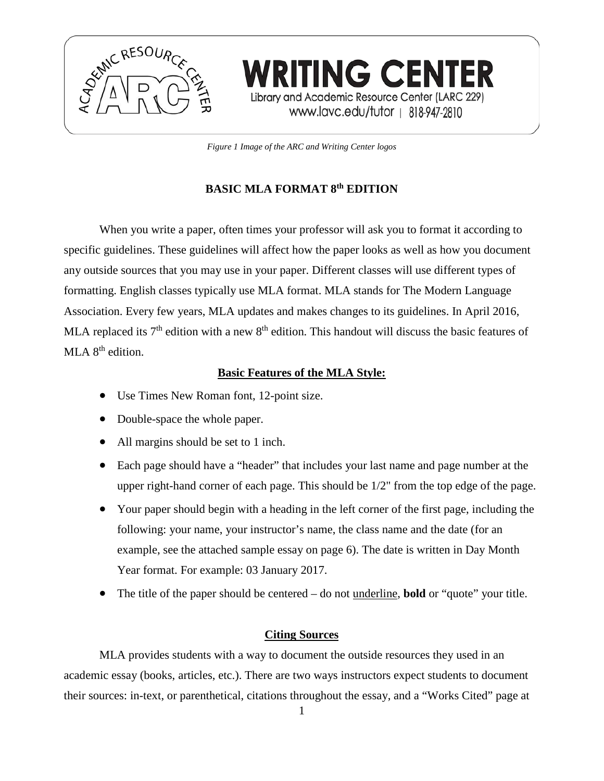

*Figure 1 Image of the ARC and Writing Center logos*

**WRITING CENTER** 

Library and Academic Resource Center (LARC 229) www.lavc.edu/tutor | 818-947-2810

# **BASIC MLA FORMAT 8th EDITION**

When you write a paper, often times your professor will ask you to format it according to specific guidelines. These guidelines will affect how the paper looks as well as how you document any outside sources that you may use in your paper. Different classes will use different types of formatting. English classes typically use MLA format. MLA stands for The Modern Language Association. Every few years, MLA updates and makes changes to its guidelines. In April 2016, MLA replaced its  $7<sup>th</sup>$  edition with a new  $8<sup>th</sup>$  edition. This handout will discuss the basic features of MLA  $8<sup>th</sup>$  edition.

# **Basic Features of the MLA Style:**

- Use Times New Roman font, 12-point size.
- Double-space the whole paper.
- All margins should be set to 1 inch.
- Each page should have a "header" that includes your last name and page number at the upper right-hand corner of each page. This should be 1/2" from the top edge of the page.
- Your paper should begin with a heading in the left corner of the first page, including the following: your name, your instructor's name, the class name and the date (for an example, see the attached sample essay on page 6). The date is written in Day Month Year format. For example: 03 January 2017.
- The title of the paper should be centered do not underline, **bold** or "quote" your title.

# **Citing Sources**

MLA provides students with a way to document the outside resources they used in an academic essay (books, articles, etc.). There are two ways instructors expect students to document their sources: in-text, or parenthetical, citations throughout the essay, and a "Works Cited" page at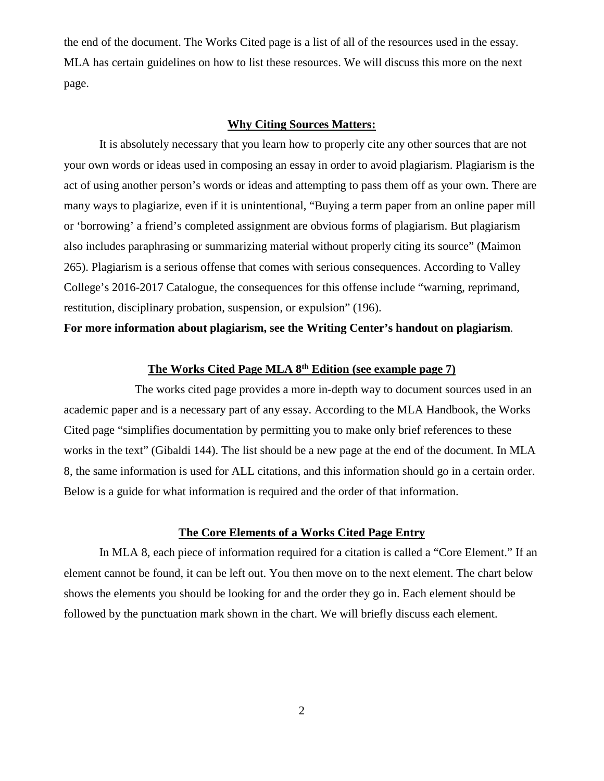the end of the document. The Works Cited page is a list of all of the resources used in the essay. MLA has certain guidelines on how to list these resources. We will discuss this more on the next page.

### **Why Citing Sources Matters:**

It is absolutely necessary that you learn how to properly cite any other sources that are not your own words or ideas used in composing an essay in order to avoid plagiarism. Plagiarism is the act of using another person's words or ideas and attempting to pass them off as your own. There are many ways to plagiarize, even if it is unintentional, "Buying a term paper from an online paper mill or 'borrowing' a friend's completed assignment are obvious forms of plagiarism. But plagiarism also includes paraphrasing or summarizing material without properly citing its source" (Maimon 265). Plagiarism is a serious offense that comes with serious consequences. According to Valley College's 2016-2017 Catalogue, the consequences for this offense include "warning, reprimand, restitution, disciplinary probation, suspension, or expulsion" (196).

# **For more information about plagiarism, see the Writing Center's handout on plagiarism**.

# **The Works Cited Page MLA 8th Edition (see example page 7)**

The works cited page provides a more in-depth way to document sources used in an academic paper and is a necessary part of any essay. According to the MLA Handbook, the Works Cited page "simplifies documentation by permitting you to make only brief references to these works in the text" (Gibaldi 144). The list should be a new page at the end of the document. In MLA 8, the same information is used for ALL citations, and this information should go in a certain order. Below is a guide for what information is required and the order of that information.

# **The Core Elements of a Works Cited Page Entry**

In MLA 8, each piece of information required for a citation is called a "Core Element." If an element cannot be found, it can be left out. You then move on to the next element. The chart below shows the elements you should be looking for and the order they go in. Each element should be followed by the punctuation mark shown in the chart. We will briefly discuss each element.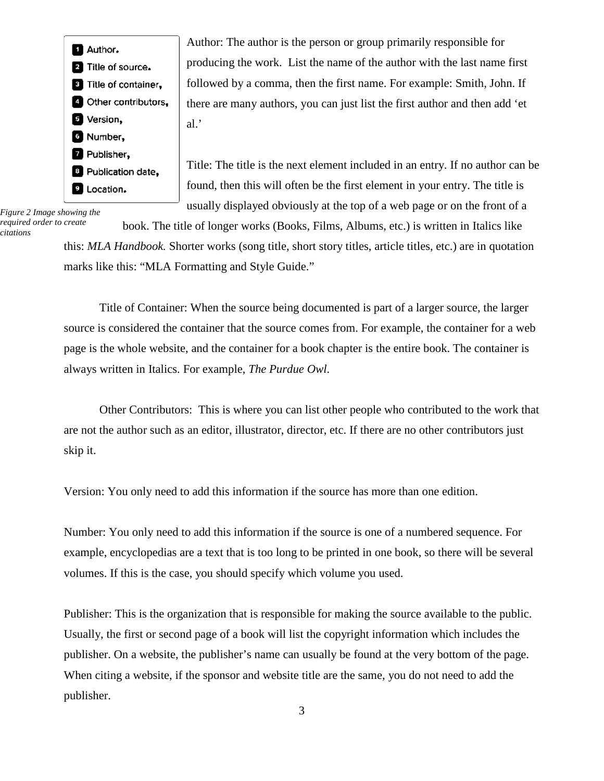Author. <sup>2</sup> Title of source. <sup>8</sup> Title of container, **4** Other contributors, **D** Version, **C** Number, **Z** Publisher, <sup>8</sup> Publication date, **D** Location.

*Figure 2 Image showing the required order to create citations*

Author: The author is the person or group primarily responsible for producing the work. List the name of the author with the last name first followed by a comma, then the first name. For example: Smith, John. If there are many authors, you can just list the first author and then add 'et al.'

Title: The title is the next element included in an entry. If no author can be found, then this will often be the first element in your entry. The title is usually displayed obviously at the top of a web page or on the front of a

book. The title of longer works (Books, Films, Albums, etc.) is written in Italics like

this: *MLA Handbook.* Shorter works (song title, short story titles, article titles, etc.) are in quotation marks like this: "MLA Formatting and Style Guide."

Title of Container: When the source being documented is part of a larger source, the larger source is considered the container that the source comes from. For example, the container for a web page is the whole website, and the container for a book chapter is the entire book. The container is always written in Italics. For example, *The Purdue Owl*.

Other Contributors: This is where you can list other people who contributed to the work that are not the author such as an editor, illustrator, director, etc. If there are no other contributors just skip it.

Version: You only need to add this information if the source has more than one edition.

Number: You only need to add this information if the source is one of a numbered sequence. For example, encyclopedias are a text that is too long to be printed in one book, so there will be several volumes. If this is the case, you should specify which volume you used.

Publisher: This is the organization that is responsible for making the source available to the public. Usually, the first or second page of a book will list the copyright information which includes the publisher. On a website, the publisher's name can usually be found at the very bottom of the page. When citing a website, if the sponsor and website title are the same, you do not need to add the publisher.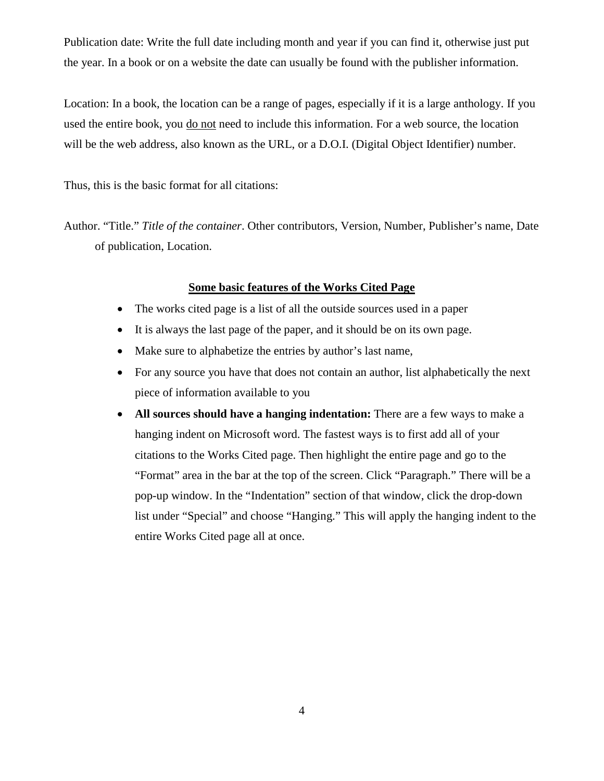Publication date: Write the full date including month and year if you can find it, otherwise just put the year. In a book or on a website the date can usually be found with the publisher information.

Location: In a book, the location can be a range of pages, especially if it is a large anthology. If you used the entire book, you do not need to include this information. For a web source, the location will be the web address, also known as the URL, or a D.O.I. (Digital Object Identifier) number.

Thus, this is the basic format for all citations:

Author. "Title." *Title of the container*. Other contributors, Version, Number, Publisher's name, Date of publication, Location.

# **Some basic features of the Works Cited Page**

- The works cited page is a list of all the outside sources used in a paper
- It is always the last page of the paper, and it should be on its own page.
- Make sure to alphabetize the entries by author's last name,
- For any source you have that does not contain an author, list alphabetically the next piece of information available to you
- **All sources should have a hanging indentation:** There are a few ways to make a hanging indent on Microsoft word. The fastest ways is to first add all of your citations to the Works Cited page. Then highlight the entire page and go to the "Format" area in the bar at the top of the screen. Click "Paragraph." There will be a pop-up window. In the "Indentation" section of that window, click the drop-down list under "Special" and choose "Hanging." This will apply the hanging indent to the entire Works Cited page all at once.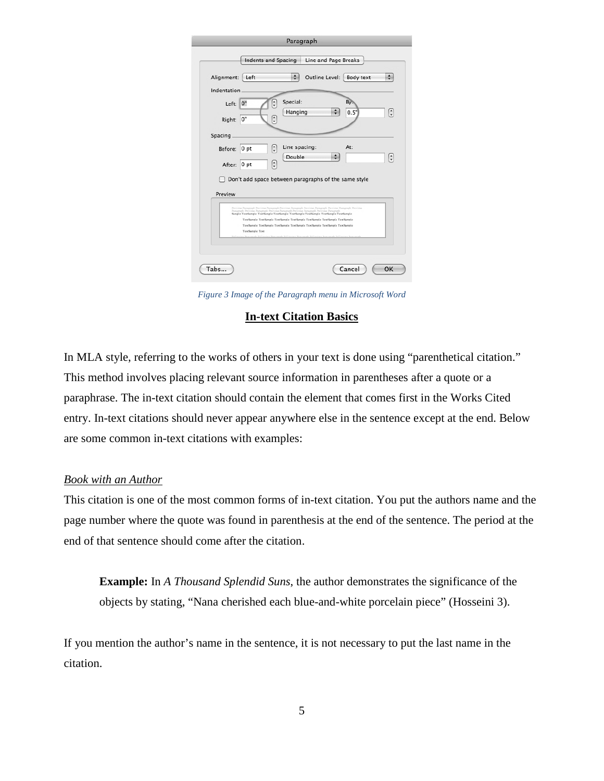|             | Paragraph                                                                                                                                                                                                                                                                                                                                                                                                                     |
|-------------|-------------------------------------------------------------------------------------------------------------------------------------------------------------------------------------------------------------------------------------------------------------------------------------------------------------------------------------------------------------------------------------------------------------------------------|
|             | Indents and Spacing<br>Line and Page Breaks                                                                                                                                                                                                                                                                                                                                                                                   |
| Alignment:  | Outline Level:<br>÷<br>Left<br>Body text                                                                                                                                                                                                                                                                                                                                                                                      |
| Indentation |                                                                                                                                                                                                                                                                                                                                                                                                                               |
| Left:       | Special:<br>Bv.<br>$\frac{1}{x}$<br>0"<br>$\frac{1}{x}$<br>Hanging<br>0.5"                                                                                                                                                                                                                                                                                                                                                    |
| Right:      | ۸<br>0"<br>¥                                                                                                                                                                                                                                                                                                                                                                                                                  |
| Spacing     |                                                                                                                                                                                                                                                                                                                                                                                                                               |
| Before:     | Line spacing:<br>At:<br>÷<br>0pt                                                                                                                                                                                                                                                                                                                                                                                              |
| After:      | Double<br>$\spadesuit$<br>$\overline{\mathbf{v}}$<br>$\frac{1}{x}$<br>0 pt                                                                                                                                                                                                                                                                                                                                                    |
| Preview     | Don't add space between paragraphs of the same style<br>Providus Paragraph Providus Paragraph Providus Paragraph Providus Paragraph Providus Paragraph Providus<br>Paragraph Province Paragraph Province Paragraph Province Paragraph Province Paragra<br>Sample TextSample TextSample TextSample TextSample TextSample TextSample TextSample<br>TextSample TextSample TextSample TextSample TextSample TextSample TextSample |
|             | TextSample TextSample TextSample TextSample TextSample TextSample TextSample<br>TextSample Text                                                                                                                                                                                                                                                                                                                               |
|             |                                                                                                                                                                                                                                                                                                                                                                                                                               |
|             |                                                                                                                                                                                                                                                                                                                                                                                                                               |
|             |                                                                                                                                                                                                                                                                                                                                                                                                                               |

*Figure 3 Image of the Paragraph menu in Microsoft Word*

#### **In-text Citation Basics**

In MLA style, referring to the works of others in your text is done using "parenthetical citation." This method involves placing relevant source information in parentheses after a quote or a paraphrase. The in-text citation should contain the element that comes first in the Works Cited entry. In-text citations should never appear anywhere else in the sentence except at the end. Below are some common in-text citations with examples:

## *Book with an Author*

This citation is one of the most common forms of in-text citation. You put the authors name and the page number where the quote was found in parenthesis at the end of the sentence. The period at the end of that sentence should come after the citation.

**Example:** In *A Thousand Splendid Suns*, the author demonstrates the significance of the objects by stating, "Nana cherished each blue-and-white porcelain piece" (Hosseini 3).

If you mention the author's name in the sentence, it is not necessary to put the last name in the citation.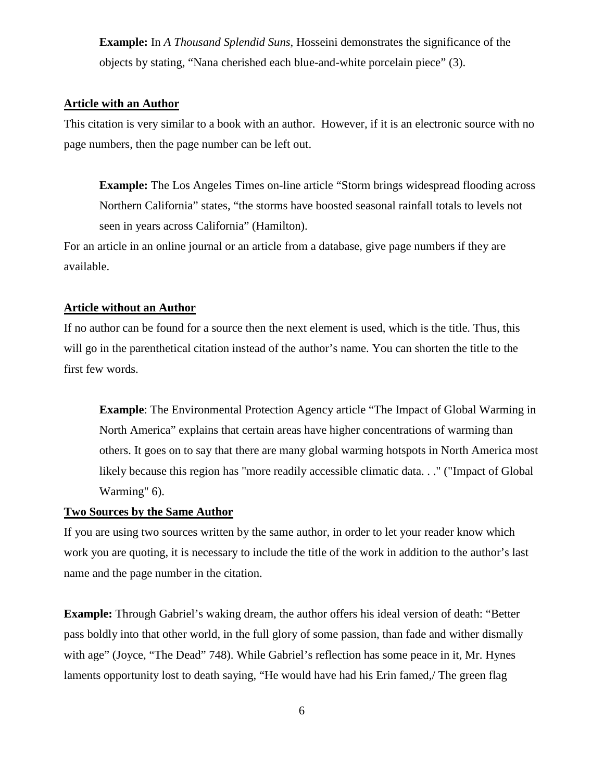**Example:** In *A Thousand Splendid Suns*, Hosseini demonstrates the significance of the objects by stating, "Nana cherished each blue-and-white porcelain piece" (3).

# **Article with an Author**

This citation is very similar to a book with an author. However, if it is an electronic source with no page numbers, then the page number can be left out.

**Example:** The Los Angeles Times on-line article "Storm brings widespread flooding across Northern California" states, "the storms have boosted seasonal rainfall totals to levels not seen in years across California" (Hamilton).

For an article in an online journal or an article from a database, give page numbers if they are available.

## **Article without an Author**

If no author can be found for a source then the next element is used, which is the title. Thus, this will go in the parenthetical citation instead of the author's name. You can shorten the title to the first few words.

**Example**: The Environmental Protection Agency article "The Impact of Global Warming in North America" explains that certain areas have higher concentrations of warming than others. It goes on to say that there are many global warming hotspots in North America most likely because this region has "more readily accessible climatic data. . ." ("Impact of Global Warming" 6).

# **Two Sources by the Same Author**

If you are using two sources written by the same author, in order to let your reader know which work you are quoting, it is necessary to include the title of the work in addition to the author's last name and the page number in the citation.

**Example:** Through Gabriel's waking dream, the author offers his ideal version of death: "Better pass boldly into that other world, in the full glory of some passion, than fade and wither dismally with age" (Joyce, "The Dead" 748). While Gabriel's reflection has some peace in it, Mr. Hynes laments opportunity lost to death saying, "He would have had his Erin famed, The green flag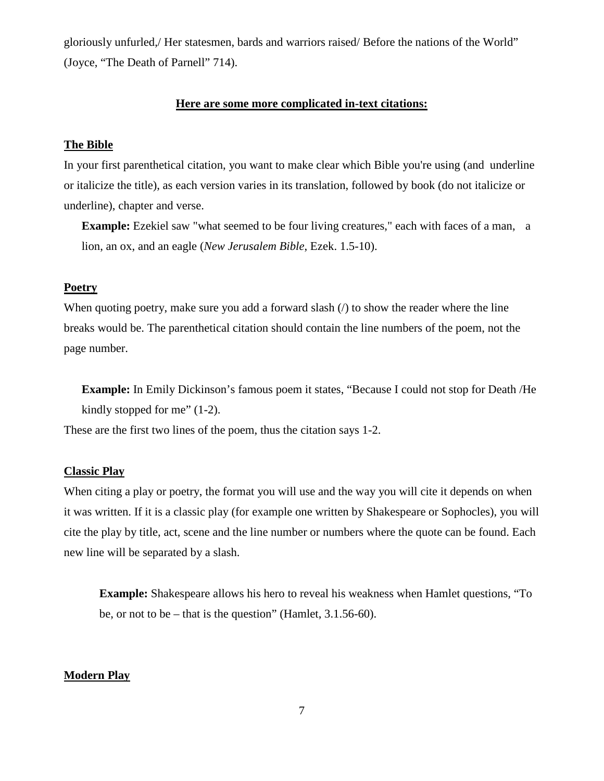gloriously unfurled,/ Her statesmen, bards and warriors raised/ Before the nations of the World" (Joyce, "The Death of Parnell" 714).

#### **Here are some more complicated in-text citations:**

#### **The Bible**

In your first parenthetical citation, you want to make clear which Bible you're using (and underline or italicize the title), as each version varies in its translation, followed by book (do not italicize or underline), chapter and verse.

**Example:** Ezekiel saw "what seemed to be four living creatures," each with faces of a man, a lion, an ox, and an eagle (*New Jerusalem Bible*, Ezek. 1.5-10).

## **Poetry**

When quoting poetry, make sure you add a forward slash  $\ell$  to show the reader where the line breaks would be. The parenthetical citation should contain the line numbers of the poem, not the page number.

**Example:** In Emily Dickinson's famous poem it states, "Because I could not stop for Death /He kindly stopped for me" (1-2).

These are the first two lines of the poem, thus the citation says 1-2.

## **Classic Play**

When citing a play or poetry, the format you will use and the way you will cite it depends on when it was written. If it is a classic play (for example one written by Shakespeare or Sophocles), you will cite the play by title, act, scene and the line number or numbers where the quote can be found. Each new line will be separated by a slash.

**Example:** Shakespeare allows his hero to reveal his weakness when Hamlet questions, "To be, or not to be – that is the question" (Hamlet, 3.1.56-60).

## **Modern Play**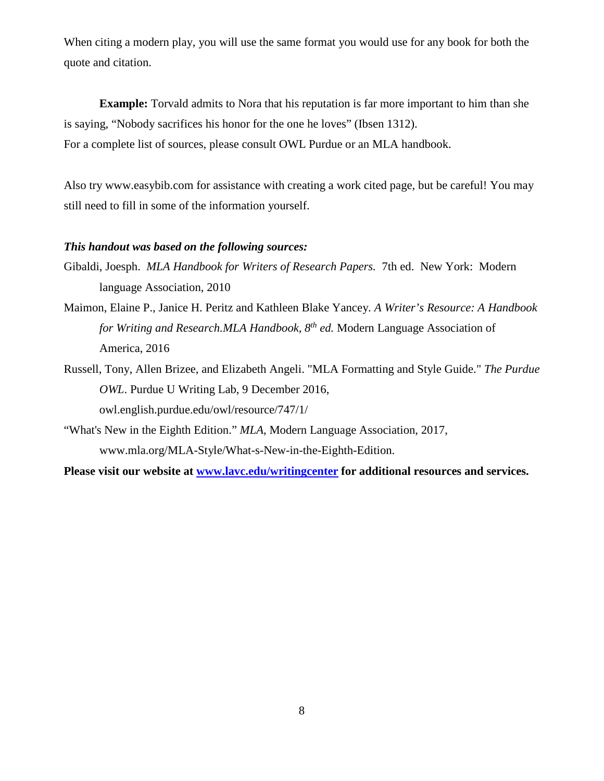When citing a modern play, you will use the same format you would use for any book for both the quote and citation.

**Example:** Torvald admits to Nora that his reputation is far more important to him than she is saying, "Nobody sacrifices his honor for the one he loves" (Ibsen 1312). For a complete list of sources, please consult OWL Purdue or an MLA handbook.

Also try www.easybib.com for assistance with creating a work cited page, but be careful! You may still need to fill in some of the information yourself.

#### *This handout was based on the following sources:*

- Gibaldi, Joesph. *MLA Handbook for Writers of Research Papers.* 7th ed. New York: Modern language Association, 2010
- Maimon, Elaine P., Janice H. Peritz and Kathleen Blake Yancey*. A Writer's Resource: A Handbook for Writing and Research.MLA Handbook, 8th ed.* Modern Language Association of America, 2016
- Russell, Tony, Allen Brizee, and Elizabeth Angeli. "MLA Formatting and Style Guide." *The Purdue OWL*. Purdue U Writing Lab, 9 December 2016, owl.english.purdue.edu/owl/resource/747/1/
- "What's New in the Eighth Edition." *MLA*, Modern Language Association, 2017, www.mla.org/MLA-Style/What-s-New-in-the-Eighth-Edition.

**Please visit our website at [www.lavc.edu/writingcenter](http://www.lavc.edu/WCweb/index/html) for additional resources and services.**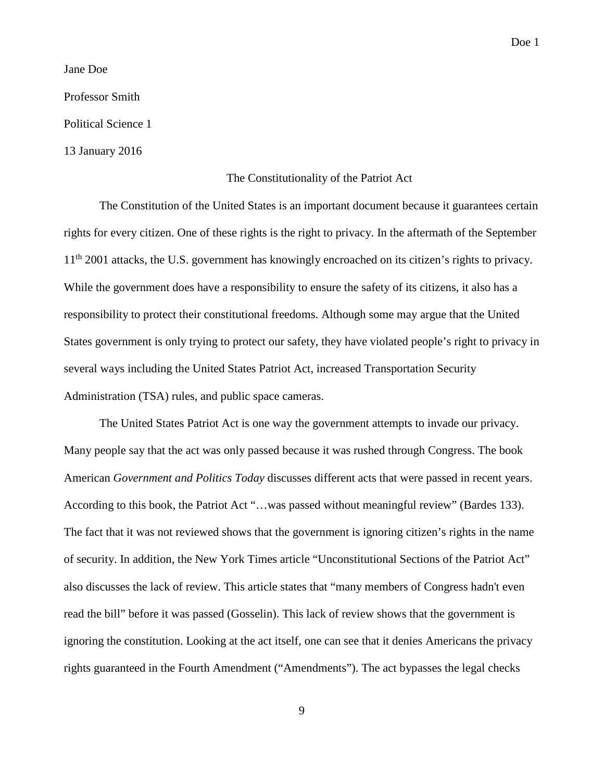Doe 1

Jane Doe

Professor Smith

Political Science 1

13 January 2016

#### The Constitutionality of the Patriot Act

The Constitution of the United States is an important document because it guarantees certain rights for every citizen. One of these rights is the right to privacy. In the aftermath of the September 11<sup>th</sup> 2001 attacks, the U.S. government has knowingly encroached on its citizen's rights to privacy. While the government does have a responsibility to ensure the safety of its citizens, it also has a responsibility to protect their constitutional freedoms. Although some may argue that the United States government is only trying to protect our safety, they have violated people's right to privacy in several ways including the United States Patriot Act, increased Transportation Security Administration (TSA) rules, and public space cameras.

The United States Patriot Act is one way the government attempts to invade our privacy. Many people say that the act was only passed because it was rushed through Congress. The book American *Government and Politics Today* discusses different acts that were passed in recent years. According to this book, the Patriot Act "…was passed without meaningful review" (Bardes 133). The fact that it was not reviewed shows that the government is ignoring citizen's rights in the name of security. In addition, the New York Times article "Unconstitutional Sections of the Patriot Act" also discusses the lack of review. This article states that "many members of Congress hadn't even read the bill" before it was passed (Gosselin). This lack of review shows that the government is ignoring the constitution. Looking at the act itself, one can see that it denies Americans the privacy rights guaranteed in the Fourth Amendment ("Amendments"). The act bypasses the legal checks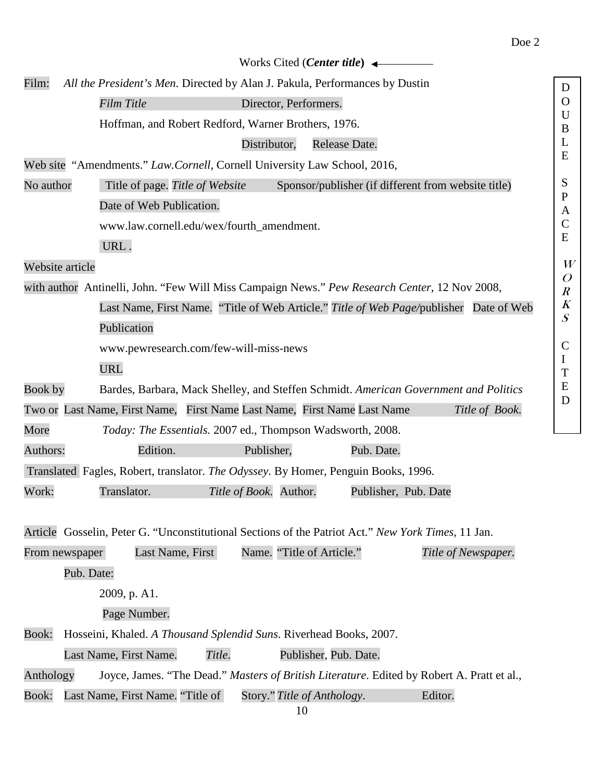|                                                                                               |                                                                                        | Works Cited ( <i>Center title</i> ) $\leftarrow$                                                                                                       |                     |  |
|-----------------------------------------------------------------------------------------------|----------------------------------------------------------------------------------------|--------------------------------------------------------------------------------------------------------------------------------------------------------|---------------------|--|
| Film:                                                                                         | All the President's Men. Directed by Alan J. Pakula, Performances by Dustin<br>D       |                                                                                                                                                        |                     |  |
|                                                                                               | Film Title                                                                             | Director, Performers.                                                                                                                                  |                     |  |
|                                                                                               |                                                                                        | Hoffman, and Robert Redford, Warner Brothers, 1976.                                                                                                    |                     |  |
|                                                                                               |                                                                                        | Distributor,<br>Release Date.                                                                                                                          | B<br>L              |  |
|                                                                                               |                                                                                        | Web site "Amendments." Law. Cornell, Cornell University Law School, 2016,                                                                              | E                   |  |
| No author                                                                                     | Title of page. Title of Website<br>Sponsor/publisher (if different from website title) |                                                                                                                                                        |                     |  |
|                                                                                               | Date of Web Publication.                                                               |                                                                                                                                                        | $\mathbf P$<br>A    |  |
|                                                                                               | www.law.cornell.edu/wex/fourth_amendment.                                              |                                                                                                                                                        | $\mathsf{C}$        |  |
|                                                                                               | URL.                                                                                   |                                                                                                                                                        | E                   |  |
| Website article                                                                               |                                                                                        |                                                                                                                                                        | W<br>$\overline{O}$ |  |
| with author Antinelli, John. "Few Will Miss Campaign News." Pew Research Center, 12 Nov 2008, |                                                                                        |                                                                                                                                                        |                     |  |
|                                                                                               | Last Name, First Name. "Title of Web Article." Title of Web Page/publisher Date of Web |                                                                                                                                                        |                     |  |
|                                                                                               | Publication                                                                            |                                                                                                                                                        | $\boldsymbol{S}$    |  |
|                                                                                               | www.pewresearch.com/few-will-miss-news                                                 |                                                                                                                                                        |                     |  |
|                                                                                               | <b>URL</b>                                                                             |                                                                                                                                                        | $\bf{l}$<br>T       |  |
| Book by                                                                                       |                                                                                        | Bardes, Barbara, Mack Shelley, and Steffen Schmidt. American Government and Politics                                                                   | E                   |  |
|                                                                                               |                                                                                        | Two or Last Name, First Name, First Name Last Name, First Name Last Name<br>Title of Book.                                                             | D                   |  |
| More                                                                                          |                                                                                        | Today: The Essentials. 2007 ed., Thompson Wadsworth, 2008.                                                                                             |                     |  |
| Authors:                                                                                      | Edition.                                                                               | Publisher,<br>Pub. Date.                                                                                                                               |                     |  |
|                                                                                               |                                                                                        | Translated Fagles, Robert, translator. The Odyssey. By Homer, Penguin Books, 1996.                                                                     |                     |  |
| Work:                                                                                         | Translator.                                                                            | Title of Book. Author.<br>Publisher, Pub. Date                                                                                                         |                     |  |
| From newspaper                                                                                | Last Name, First<br>Pub. Date:                                                         | Article Gosselin, Peter G. "Unconstitutional Sections of the Patriot Act." New York Times, 11 Jan.<br>Name. "Title of Article."<br>Title of Newspaper. |                     |  |
|                                                                                               | 2009, p. A1.                                                                           |                                                                                                                                                        |                     |  |
|                                                                                               | Page Number.                                                                           |                                                                                                                                                        |                     |  |
| <b>Book:</b>                                                                                  |                                                                                        | Hosseini, Khaled. A Thousand Splendid Suns. Riverhead Books, 2007.                                                                                     |                     |  |
|                                                                                               | Title.<br>Last Name, First Name.                                                       | Publisher, Pub. Date.                                                                                                                                  |                     |  |
| Anthology                                                                                     |                                                                                        | Joyce, James. "The Dead." Masters of British Literature. Edited by Robert A. Pratt et al.,                                                             |                     |  |
| <b>Book:</b>                                                                                  | Last Name, First Name. "Title of                                                       | Story." Title of Anthology.<br>Editor.                                                                                                                 |                     |  |
|                                                                                               |                                                                                        |                                                                                                                                                        |                     |  |